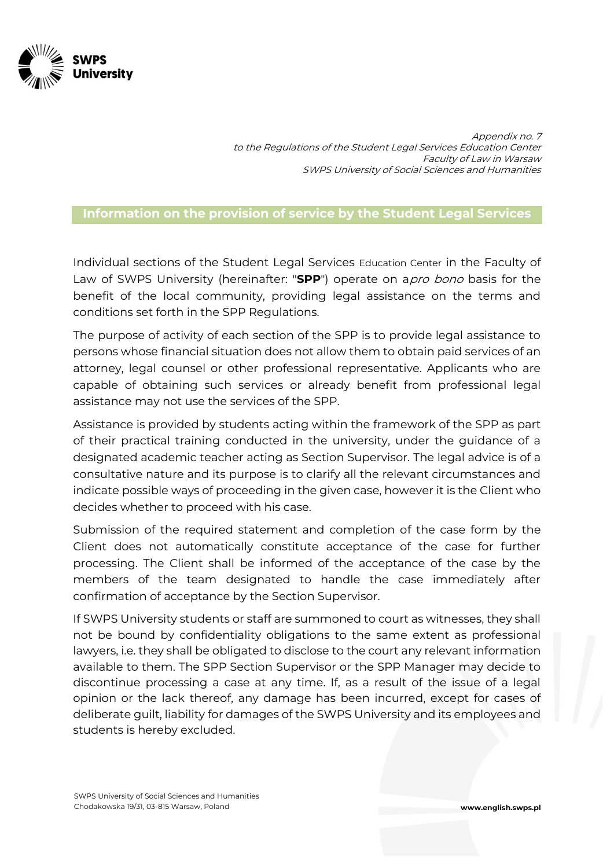

Appendix no. 7 to the Regulations of the Student Legal Services Education Center Faculty of Law in Warsaw SWPS University of Social Sciences and Humanities

## **Information on the provision of service by the Student Legal Services**

Individual sections of the Student Legal Services Education Center in the Faculty of Law of SWPS University (hereinafter: "SPP") operate on a*pro bono* basis for the benefit of the local community, providing legal assistance on the terms and conditions set forth in the SPP Regulations.

The purpose of activity of each section of the SPP is to provide legal assistance to persons whose financial situation does not allow them to obtain paid services of an attorney, legal counsel or other professional representative. Applicants who are capable of obtaining such services or already benefit from professional legal assistance may not use the services of the SPP.

Assistance is provided by students acting within the framework of the SPP as part of their practical training conducted in the university, under the guidance of a designated academic teacher acting as Section Supervisor. The legal advice is of a consultative nature and its purpose is to clarify all the relevant circumstances and indicate possible ways of proceeding in the given case, however it is the Client who decides whether to proceed with his case.

Submission of the required statement and completion of the case form by the Client does not automatically constitute acceptance of the case for further processing. The Client shall be informed of the acceptance of the case by the members of the team designated to handle the case immediately after confirmation of acceptance by the Section Supervisor.

If SWPS University students or staff are summoned to court as witnesses, they shall not be bound by confidentiality obligations to the same extent as professional lawyers, i.e. they shall be obligated to disclose to the court any relevant information available to them. The SPP Section Supervisor or the SPP Manager may decide to discontinue processing a case at any time. If, as a result of the issue of a legal opinion or the lack thereof, any damage has been incurred, except for cases of deliberate guilt, liability for damages of the SWPS University and its employees and students is hereby excluded.